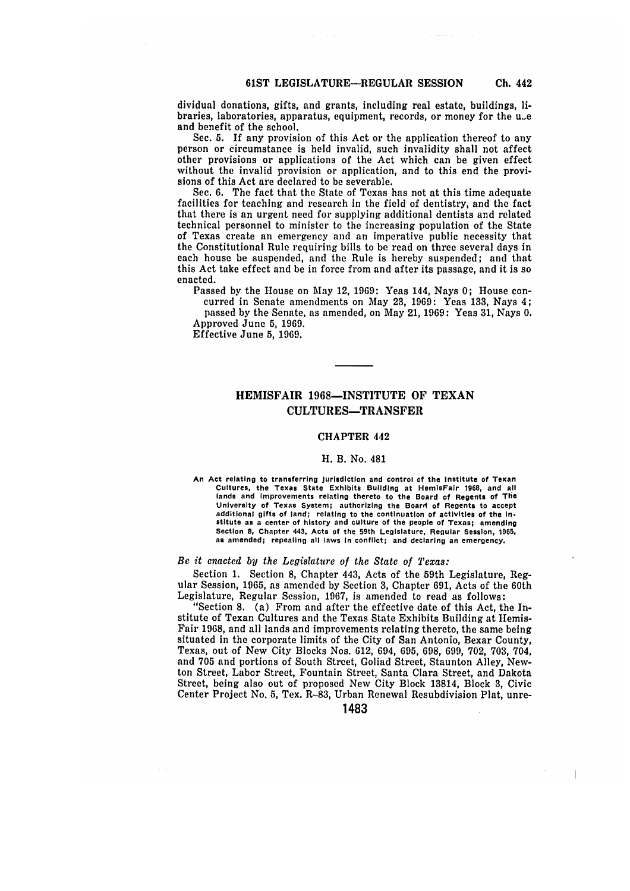dividual donations, gifts, and grants, including real estate, buildings, libraries, laboratories, apparatus, equipment, records, or money for the u.e and benefit of the school.

Sec. **5.** If any provision of this Act or the application thereof to any person or circumstance is held invalid, such invalidity shall not affect other provisions or applications of the Act which can be given effect without the invalid provision or application, and to this end the provisions of this Act are declared to be severable.

Sec. **6.** The fact that the State of Texas has not at this time adequate facilities for teaching and research in the field of dentistry, and the fact that there is an urgent need for supplying additional dentists and related technical personnel to minister to the increasing population of the State of Texas create an emergency and an imperative public necessity that the Constitutional Rule requiring bills to be read on three several days in each house be suspended, and the Rule is hereby suspended; and that this Act take effect and be in force from and after its passage, and it is so enacted.

Passed by the House on May 12, 1969: Yeas 144, Nays 0; House concurred in Senate amendments on May 23, 1969: Yeas 133, Nays 4;

passed by the Senate, as amended, on May 21, 1969: Yeas 31, Nays 0. Approved June 5, 1969.

Effective June **5,** 1969.

# HEMISFAIR 1968-INSTITUTE OF TEXAN **CULTURES-TRANSFER**

## CHAPTER 442

#### H. B. No. 481

An Act relating to transferring jurisdiction and control of the Institute of Texan Cultures, the Texas State Exhibits Building at HemisFair **1968,** and **all** lands and Improvements relating thereto to the Board of Regents of Tile Extract The University of Texas System; authorizing the Board of Regents of The<br>University of Texas System; authorizing the Board of Regents to accept additional gifts of land; relating to the continuation of activities of the In. stitute as a center of history and culture of the people of Texas; amending Section **8,** Chapter 443, Acts of the 59th Legislature, Regular Session, **1965,** as amended; repealing all laws In conflict; and declaring an emergency.

#### *Be it enacted by the Legislature of the State of Texas:*

Section 1. Section **8,** Chapter 443, Acts of the 59th Legislature, Regular Session, 1965, as amended by Section 3, Chapter 691, Acts of the 60th Legislature, Regular Session, 1967, is amended to read as follows:

"Section 8. (a) From and after the effective date of this Act, the Institute of Texan Cultures and the Texas State Exhibits Building at Hemis-Fair 1968, and all lands and improvements relating thereto, the same being situated in the corporate limits of the City of San Antonio, Bexar County, Texas, out of New City Blocks Nos. 612, 694, 695, 698, 699, 702, 703, 704, and 705 and portions of South Street, Goliad Street, Staunton Alley, Newton Street, Labor Street, Fountain Street, Santa Clara Street, and Dakota Street, being also out of proposed New City Block 13814, Block 3, Civic Center Project No. 5, Tex. R-83, Urban Renewal Resubdivision Plat, unre-

1483